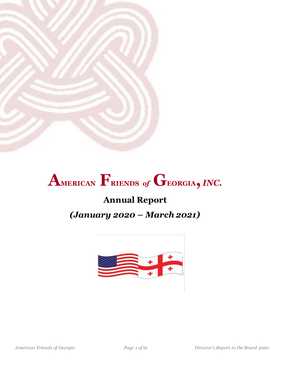

# **AMERICAN FRIENDS** *of* **GEORGIA,** *INC.*

# **Annual Report**

# *(January 2020 – March 2021)*

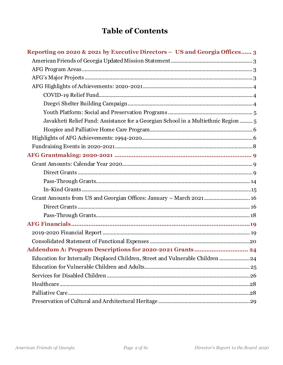# **Table of Contents**

| Reporting on 2020 & 2021 by Executive Directors - US and Georgia Offices 3         |
|------------------------------------------------------------------------------------|
|                                                                                    |
|                                                                                    |
|                                                                                    |
|                                                                                    |
|                                                                                    |
|                                                                                    |
|                                                                                    |
| Javakheti Relief Fund: Assistance for a Georgian School in a Multiethnic Region  5 |
|                                                                                    |
|                                                                                    |
|                                                                                    |
|                                                                                    |
|                                                                                    |
|                                                                                    |
|                                                                                    |
|                                                                                    |
| Grant Amounts from US and Georgian Offices: January - March 2021 16                |
|                                                                                    |
|                                                                                    |
|                                                                                    |
|                                                                                    |
|                                                                                    |
|                                                                                    |
| Education for Internally Displaced Children, Street and Vulnerable Children  24    |
|                                                                                    |
|                                                                                    |
|                                                                                    |
|                                                                                    |
|                                                                                    |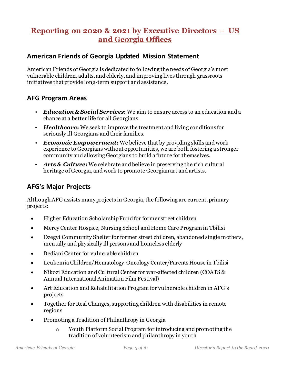# <span id="page-2-0"></span>**Reporting on 2020 & 2021 by Executive Directors – US and Georgia Offices**

### <span id="page-2-1"></span>**American Friends of Georgia Updated Mission Statement**

American Friends of Georgia is dedicated to following the needs of Georgia's most vulnerable children, adults, and elderly, and improving lives through grassroots initiatives that provide long-term support and assistance.

### <span id="page-2-2"></span>**AFG Program Areas**

- *Education & Social Services***:** We aim to ensure access to an education and a chance at a better life for all Georgians.
- *Healthcare***:** We seek to improve the treatment and living conditions for seriously ill Georgians and their families.
- *Economic Empowerment***:** We believe that by providing skills and work experience to Georgians without opportunities, we are both fostering a stronger community and allowing Georgians to build a future for themselves.
- *Arts & Culture***:** We celebrate and believe in preserving the rich cultural heritage of Georgia, and work to promote Georgian art and artists.

# <span id="page-2-3"></span>**AFG's Major Projects**

Although AFG assists many projects in Georgia, the following are current, primary projects:

- Higher Education Scholarship Fund for former street children
- Mercy Center Hospice, Nursing School and Home Care Program in Tbilisi
- Dzegvi Community Shelter for former street children, abandoned single mothers, mentally and physically ill persons and homeless elderly
- Bediani Center for vulnerable children
- Leukemia Children/Hematology-Oncology Center/Parents House in Tbilisi
- Nikozi Education and Cultural Center for war-affected children (COATS & Annual International Animation Film Festival)
- Art Education and Rehabilitation Program for vulnerable children in AFG's projects
- Together for Real Changes, supporting children with disabilities in remote regions
- Promoting a Tradition of Philanthropy in Georgia
	- o Youth Platform Social Program for introducing and promoting the tradition of volunteerism and philanthropy in youth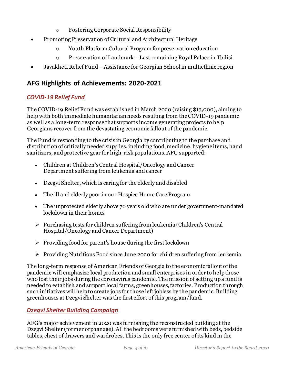- o Fostering Corporate Social Responsibility
- Promoting Preservation of Cultural and Architectural Heritage
	- o Youth Platform Cultural Program for preservation education
	- o Preservation of Landmark Last remaining Royal Palace in Tbilisi
- Javakheti Relief Fund Assistance for Georgian School in multiethnic region

# <span id="page-3-0"></span>**AFG Highlights of Achievements: 2020-2021**

### <span id="page-3-1"></span>*COVID-19 Relief Fund*

The COVID-19 Relief Fund was established in March 2020 (raising \$13,000), aiming to help with both immediate humanitarian needs resulting from the COVID-19 pandemic as well as a long-term response that supports income generating projects to help Georgians recover from the devastating economic fallout of the pandemic.

The Fund is responding to the crisis in Georgia by contributing to the purchase and distribution of critically needed supplies, including food, medicine, hygiene items, hand sanitizers, and protective gear for high-risk populations. AFG supported:

- Children at Children's Central Hospital/Oncology and Cancer Department suffering from leukemia and cancer
- Dzegvi Shelter, which is caring for the elderly and disabled
- The ill and elderly poor in our Hospice Home Care Program
- The unprotected elderly above 70 years old who are under government-mandated lockdown in their homes
- ➢ Purchasing tests for children suffering from leukemia (Children's Central Hospital/Oncology and Cancer Department)
- $\triangleright$  Providing food for parent's house during the first lockdown
- ➢ Providing Nutritious Food since June 2020 for children suffering from leukemia

The long-term response of American Friends of Georgia to the economic fallout of the pandemic will emphasize local production and small enterprises in order to help those who lost their jobs during the coronavirus pandemic. The mission of setting up a fund is needed to establish and support local farms, greenhouses, factories. Production through such initiatives will help to create jobs for those left jobless by the pandemic. Building greenhouses at Dzegvi Shelter was the first effort of this program/fund.

### <span id="page-3-2"></span>*Dzegvi Shelter Building Campaign*

AFG's major achievement in 2020 was furnishing the reconstructed building at the Dzegvi Shelter (former orphanage). All the bedrooms were furnished with beds, bedside tables, chest of drawers and wardrobes. This is the only free center of its kind in the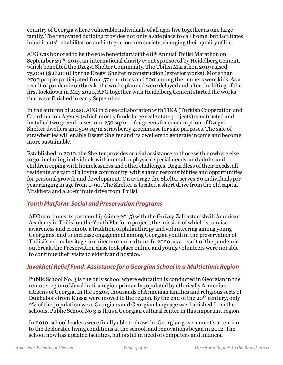country of Georgia where vulnerable individuals of all ages live together as one large family. The renovated building provides not only a safe place to call home, but facilitates inhabitants' rehabilitation and integration into society, changing their quality of life.

AFG was honored to be the sole beneficiary of the 8<sup>th</sup> Annual Tbilisi Marathon on September 29th, 2019, an international charity event sponsored by Heidelberg Cement, which benefited the Dzegvi Shelter Community. The Tbilisi Marathon 2019 raised 75,000 (\$26,000) for the Dzegvi Shelter reconstruction (exterior works). More than 2700 people participated from 57 countries and 500 among the runners were kids. As a result of pandemic outbreak, the works planned were delayed and after the lifting of the first lockdown in May 2020, AFG together with Heidelberg Cement started the works that were finished in early September.

In the autumn of 2020, AFG in close collaboration with TIKA (Turkish Cooperation and Coordination Agency (which mostly funds large scale state projects) constructed and installed two greenhouses: one  $250 \text{ sq/m} -$  for greens for consumption of Dzegvi Shelter dwellers and 500 sq/m strawberry greenhouse for sale purposes. The sale of strawberries will enable Dzegvi Shelter and its dwellers to generate income and become more sustainable.

Established in 2010, the Shelter provides crucial assistance to those with nowhere else to go, including individuals with mental or physical special needs, and adults and children coping with homelessness and other challenges. Regardless of their needs, all residents are part of a loving community, with shared responsibilities and opportunities for personal growth and development. On average the Shelter serves 80 individuals per year ranging in age from 0-90. The Shelter is located a short drive from the old capital Mtskheta and a 20-minute drive from Tbilisi.

#### <span id="page-4-0"></span>*Youth Platform: Social and Preservation Programs*

AFG continues its partnership (since 2015) with the Guivey Zaldastanishvili American Academy in Tbilisi on the Youth Platform project, the mission of which is to raise awareness and promote a tradition of philanthropy and volunteering among young Georgians, and to increase engagement among Georgian youth in the preservation of Tbilisi's urban heritage, architecture and culture. In 2020, as a result of the pandemic outbreak, the Preservation class took place online and young volunteers were not able to continue their visits to elderly and hospice.

#### <span id="page-4-1"></span>*Javakheti Relief Fund: Assistance for a Georgian School in a Multiethnic Region*

Public School No. 3 is the only school where education is conducted in Georgian in the remote region of Javakheti, a region primarily populated by ethnically Armenian citizens of Georgia. In the 1820s, thousands of Armenian families and religious sects of Dukhabors from Russia were moved to the region. By the end of the 20<sup>th</sup> century, only 2% of the population were Georgians and Georgian language was banished from the schools. Public School No 3 is thus a Georgian cultural center in this important region.

In 2010, school leaders were finally able to draw the Georgian government's attention to the deplorable living conditions at the school, and renovations began in 2012. The school now has updated facilities, but is still in need of computers and financial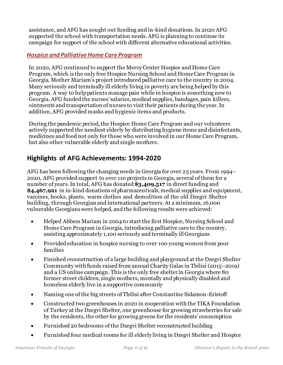assistance, and AFG has sought out funding and in-kind donations. In 2020 AFG supported the school with transportation needs. AFG is planning to continue its campaign for support of the school with different alternative educational activities.

#### <span id="page-5-0"></span>*Hospice and Palliative Home Care Program*

In 2020, AFG continued to support the Mercy Center Hospice and Home Care Program, which is the only free Hospice Nursing School and Home Care Program in Georgia. Mother Mariam's project introduced palliative care to the country in 2004. Many seriously and terminally ill elderly living in poverty are being helped by this program. A way to help patients manage pain while in hospice is something new to Georgia. AFG funded the nurses' salaries, medical supplies, bandages, pain killers, ointments and transportation of nurses to visit their patients during the year. In addition, AFG provided masks and hygienic items and products.

During the pandemic period, the Hospice Home Care Program and our volunteers actively supported the neediest elderly by distributing hygiene items and disinfectants, medicines and food not only for those who were involved in our Home Care Program, but also other vulnerable elderly and single mothers.

# <span id="page-5-1"></span>**Highlights of AFG Achievements: 1994-2020**

AFG has been following the changing needs in Georgia for over 25 years. From 1994– 2020, AFG provided support to over 110 projects in Georgia, several of them for a number of years. In total, AFG has donated **\$3,409,517** in direct funding and **\$4,467,921** in in-kind donations of pharmaceuticals, medical supplies and equipment, vaccines, books, plants, warm clothes and demolition of the old Dzegvi Shelter building, through Georgian and international partners. At a minimum, 16,000 vulnerable Georgianswere helped, and the following results were achieved:

- Helped Abbess Mariam in 2004 to start the first Hospice, Nursing School and Home Care Program in Georgia, introducing palliative care to the country, assisting approximately 1,100 seriously and terminally ill Georgians
- Provided education in hospice nursing to over 100 young women from poor families
- Finished reconstruction of a large building and playground at the Dzegvi Shelter Community with funds raised from annual Charity Galas in Tbilisi (2015–2019) and a US online campaign. This is the only free shelter in Georgia where 80 former street children, single mothers, mentally and physically disabled and homeless elderly live in a supportive community
- Naming one of the big streets of Tbilisi after Constantine Sidamon-Eristoff
- Constructed two greenhouses in 2020 in cooperation with the TIKA Foundation of Turkey at the Dzegvi Shelter, one greenhouse for growing strawberries for sale by the residents, the other for growing greens for the residents' consumption
- Furnished 20 bedrooms of the Dzegvi Shelter reconstructed building
- Furnished four medical rooms for ill elderly living in Dzegvi Shelter and Hospice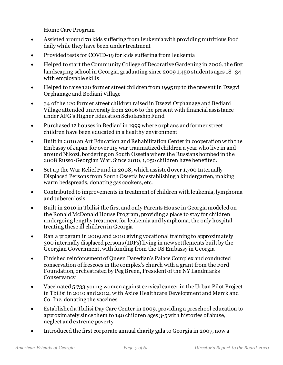Home Care Program

- Assisted around 70 kids suffering from leukemia with providing nutritious food daily while they have been under treatment
- Provided tests for COVID-19 for kids suffering from leukemia
- Helped to start the Community College of Decorative Gardening in 2006, the first landscaping school in Georgia, graduating since 2009 1,450 students ages 18–34 with employable skills
- Helped to raise 120 former street children from 1995 up to the present in Dzegvi Orphanage and Bediani Village
- 34 of the 120 former street children raised in Dzegvi Orphanage and Bediani Village attended university from 2006 to the present with financial assistance under AFG's Higher Education Scholarship Fund
- Purchased 12 houses in Bediani in 1999 where orphans and former street children have been educated in a healthy environment
- Built in 2010 an Art Education and Rehabilitation Center in cooperation with the Embassy of Japan for over 115 war traumatized children a year who live in and around Nikozi, bordering on South Ossetia where the Russians bombed in the 2008 Russo-Georgian War. Since 2010, 1,050 children have benefited.
- Set up the War Relief Fund in 2008, which assisted over 1,700 Internally Displaced Persons from South Ossetia by establishing a kindergarten, making warm bedspreads, donating gas cookers, etc.
- Contributed to improvements in treatment of children with leukemia, lymphoma and tuberculosis
- Built in 2010 in Tbilisi the first and only Parents House in Georgia modeled on the Ronald McDonald House Program, providing a place to stay for children undergoing lengthy treatment for leukemia and lymphoma, the only hospital treating these ill children in Georgia
- Ran a program in 2009 and 2010 giving vocational training to approximately 300 internally displaced persons (IDPs) living in new settlements built by the Georgian Government, with funding from the US Embassy in Georgia
- Finished reinforcement of Queen Daredjan's Palace Complex and conducted conservation of frescoes in the complex's church with a grant from the Ford Foundation, orchestrated by Peg Breen, President of the NY Landmarks **Conservancy**
- Vaccinated 5,733 young women against cervical cancer in the Urban Pilot Project in Tbilisi in 2010 and 2012, with Axios Healthcare Development and Merck and Co. Inc. donating the vaccines
- Established a Tbilisi Day Care Center in 2009, providing a preschool education to approximately since them to 140 children ages 3-5 with histories of abuse, neglect and extreme poverty
- Introduced the first corporate annual charity gala to Georgia in 2007, now a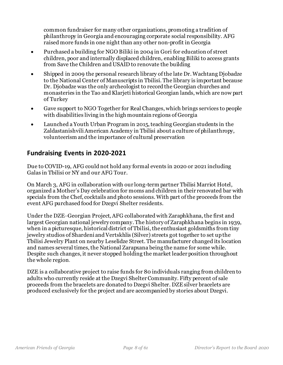common fundraiser for many other organizations, promoting a tradition of philanthropy in Georgia and encouraging corporate social responsibility. AFG raised more funds in one night than any other non-profit in Georgia

- Purchased a building for NGO Biliki in 2004 in Gori for education of street children, poor and internally displaced children, enabling Biliki to access grants from Save the Children and USAID to renovate the building
- Shipped in 2009 the personal research library of the late Dr. Wachtang Djobadze to the National Center of Manuscripts in Tbilisi. The library is important because Dr. Djobadze was the only archeologist to record the Georgian churches and monasteries in the Tao and Klarjeti historical Georgian lands, which are now part of Turkey
- Gave support to NGO Together for Real Changes, which brings services to people with disabilities living in the high mountain regions of Georgia
- Launched a Youth Urban Program in 2015, teaching Georgian students in the Zaldastanishvili American Academy in Tbilisi about a culture of philanthropy, volunteerism and the importance of cultural preservation

# <span id="page-7-0"></span>**Fundraising Events in 2020-2021**

Due to COVID-19, AFG could not hold any formal events in 2020 or 2021 including Galas in Tbilisi or NY and our AFG Tour.

On March 3, AFG in collaboration with our long-term partner Tbilisi Marriot Hotel, organized a Mother's Day celebration for moms and children in their renovated bar with specials from the Chef, cocktails and photo sessions. With part of the proceeds from the event AFG purchased food for Dzegvi Shelter residents.

Under the DZE–Georgian Project,AFG collaborated with Zaraphkhana, the first and largest Georgian national jewelry company. The history of Zaraphkhana begins in 1939, when in a picturesque, historical district of Tbilisi, the enthusiast goldsmiths from tiny jewelry studios of Shardeni and Vertskhlis (Silver) streets got together to set up the Tbilisi Jewelry Plant on nearby Leselidze Street. The manufacturer changed its location and names several times, the National Zarapxana being the name for some while. Despite such changes, it never stopped holding the market leader position throughout the whole region.

DZE is a collaborative project to raise funds for 80 individuals ranging from children to adults who currently reside at the Dzegvi Shelter Community. Fifty percent of sale proceeds from the bracelets are donated to Dzegvi Shelter. DZEsilver bracelets are produced exclusively for the project and are accompanied by stories about Dzegvi.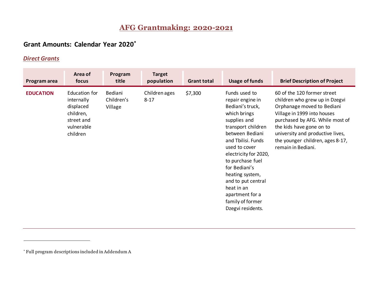# **AFG Grantmaking: 2020-2021**

# **Grant Amounts: Calendar Year 2020\***

### *Direct Grants*

<span id="page-8-2"></span><span id="page-8-1"></span><span id="page-8-0"></span>

| Program area     | Area of<br>focus                                                                              | Program<br>title                 | <b>Target</b><br>population | <b>Grant total</b> | <b>Usage of funds</b>                                                                                                                                                                                                                                                                                                                                  | <b>Brief Description of Project</b>                                                                                                                                                                                                                                                     |
|------------------|-----------------------------------------------------------------------------------------------|----------------------------------|-----------------------------|--------------------|--------------------------------------------------------------------------------------------------------------------------------------------------------------------------------------------------------------------------------------------------------------------------------------------------------------------------------------------------------|-----------------------------------------------------------------------------------------------------------------------------------------------------------------------------------------------------------------------------------------------------------------------------------------|
| <b>EDUCATION</b> | Education for<br>internally<br>displaced<br>children,<br>street and<br>vulnerable<br>children | Bediani<br>Children's<br>Village | Children ages<br>$8 - 17$   | \$7,300            | Funds used to<br>repair engine in<br>Bediani's truck,<br>which brings<br>supplies and<br>transport children<br>between Bediani<br>and Tbilisi. Funds<br>used to cover<br>electricity for 2020,<br>to purchase fuel<br>for Bediani's<br>heating system,<br>and to put central<br>heat in an<br>apartment for a<br>family of former<br>Dzegvi residents. | 60 of the 120 former street<br>children who grew up in Dzegvi<br>Orphanage moved to Bediani<br>Village in 1999 into houses<br>purchased by AFG. While most of<br>the kids have gone on to<br>university and productive lives,<br>the younger children, ages 8-17,<br>remain in Bediani. |

<sup>\*</sup> Full program descriptions included in Addendum A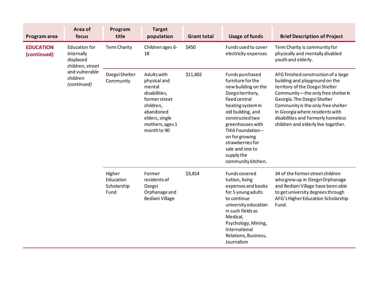| Program area                    | Area of<br>focus                                                    | Program<br>title                           | <b>Target</b><br>population                                                                                                                           | <b>Grant total</b> | <b>Usage of funds</b>                                                                                                                                                                                                                                                                              | <b>Brief Description of Project</b>                                                                                                                                                                                                                                                                                                  |
|---------------------------------|---------------------------------------------------------------------|--------------------------------------------|-------------------------------------------------------------------------------------------------------------------------------------------------------|--------------------|----------------------------------------------------------------------------------------------------------------------------------------------------------------------------------------------------------------------------------------------------------------------------------------------------|--------------------------------------------------------------------------------------------------------------------------------------------------------------------------------------------------------------------------------------------------------------------------------------------------------------------------------------|
| <b>EDUCATION</b><br>(continued) | <b>Education for</b><br>internally<br>displaced<br>children, street | <b>Temi Charity</b>                        | Children ages 6-<br>18                                                                                                                                | \$450              | Funds used to cover<br>electricity expenses                                                                                                                                                                                                                                                        | Temi Charity is community for<br>physically and mentally disabled<br>youth and elderly.                                                                                                                                                                                                                                              |
|                                 | and vulnerable<br>children<br>(continued)                           | Dzegvi Shelter<br>Community                | Adults with<br>physical and<br>mental<br>disabilities,<br>former street<br>children,<br>abandoned<br>elders, single<br>mothers; ages 1<br>month to 90 | \$11,602           | Funds purchased<br>furniture for the<br>new building on the<br>Dzegviterritory,<br>fixed central<br>heating system in<br>old building, and<br>constructed two<br>greenhouses with<br>TIKA Foundation-<br>on for growing<br>strawberries for<br>sale and one to<br>supply the<br>community kitchen. | AFG finished construction of a large<br>building and playground on the<br>territory of the Dzegvi Shelter<br>Community-the only free shelter in<br>Georgia. The Dzegvi Shelter<br>Community is the only free shelter<br>in Georgia where residents with<br>disabilities and formerly homeless<br>children and elderly live together. |
|                                 |                                                                     | Higher<br>Education<br>Scholarship<br>Fund | Former<br>residents of<br>Dzegvi<br>Orphanage and<br>Bediani Village                                                                                  | \$3,814            | Funds covered<br>tuition, living<br>expenses and books<br>for 5 young adults<br>to continue<br>university education<br>in such fields as<br>Medical,<br>Psychology, Mining,<br>International<br>Relations, Business,<br>Journalism                                                                 | 34 of the former street children<br>who grew up in Dzegvi Orphanage<br>and Bediani Village have been able<br>to get university degrees through<br>AFG's Higher Education Scholarship<br>Fund.                                                                                                                                        |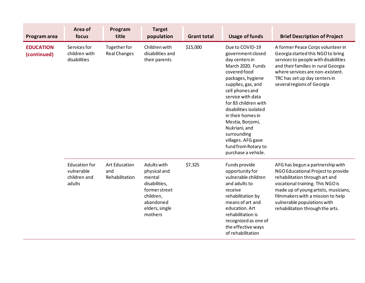| Program area                                          | Area of<br>focus                              | Program<br>title                              | <b>Target</b><br>population                                                                                                    | <b>Grant total</b> | <b>Usage of funds</b>                                                                                                                                                                                                                                                                                                                                                        | <b>Brief Description of Project</b>                                                                                                                                                                                                                                                          |
|-------------------------------------------------------|-----------------------------------------------|-----------------------------------------------|--------------------------------------------------------------------------------------------------------------------------------|--------------------|------------------------------------------------------------------------------------------------------------------------------------------------------------------------------------------------------------------------------------------------------------------------------------------------------------------------------------------------------------------------------|----------------------------------------------------------------------------------------------------------------------------------------------------------------------------------------------------------------------------------------------------------------------------------------------|
| <b>EDUCATION</b><br>(continued)                       | Services for<br>children with<br>disabilities | Togetherfor<br><b>Real Changes</b>            | Children with<br>disabilities and<br>their parents                                                                             | \$15,000           | Due to COVID-19<br>government closed<br>day centers in<br>March 2020. Funds<br>covered food<br>packages, hygiene<br>supplies, gas, and<br>cell phones and<br>service with data<br>for 83 children with<br>disabilities isolated<br>in their homes in<br>Mestia, Borjomi,<br>Nukriani, and<br>surrounding<br>villages. AFG gave<br>fund from Rotary to<br>purchase a vehicle. | A former Peace Corps volunteer in<br>Georgia started this NGO to bring<br>services to people with disabilities<br>and their families in rural Georgia<br>where services are non-existent.<br>TRC has set up day centers in<br>several regions of Georgia                                     |
| Education for<br>vulnerable<br>children and<br>adults |                                               | <b>Art Education</b><br>and<br>Rehabilitation | Adults with<br>physical and<br>mental<br>disabilities,<br>former street<br>children,<br>abandoned<br>elders, single<br>mothers | \$7,325            | Funds provide<br>opportunity for<br>vulnerable children<br>and adults to<br>receive<br>rehabilitation by<br>means of art and<br>education. Art<br>rehabilitation is<br>recognized as one of<br>the effective ways<br>of rehabilitation                                                                                                                                       | AFG has begun a partnership with<br>NGO Educational Project to provide<br>rehabilitation through art and<br>vocational training. This NGO is<br>made up of young artists, musicians,<br>filmmakers with a mission to help<br>vulnerable populations with<br>rehabilitation through the arts. |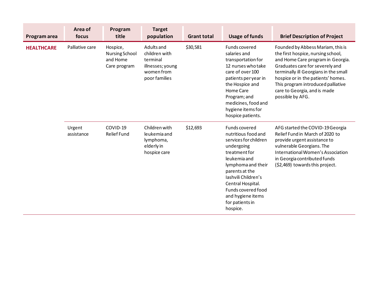| Program area      | Area of<br>focus     | Program<br>title                                              | <b>Target</b><br>population                                                                | <b>Grant total</b> | <b>Usage of funds</b>                                                                                                                                                                                                                                                      | <b>Brief Description of Project</b>                                                                                                                                                                                                                                                                                      |
|-------------------|----------------------|---------------------------------------------------------------|--------------------------------------------------------------------------------------------|--------------------|----------------------------------------------------------------------------------------------------------------------------------------------------------------------------------------------------------------------------------------------------------------------------|--------------------------------------------------------------------------------------------------------------------------------------------------------------------------------------------------------------------------------------------------------------------------------------------------------------------------|
| <b>HEALTHCARE</b> | Palliative care      | Hospice,<br><b>Nursing School</b><br>and Home<br>Care program | Adults and<br>children with<br>terminal<br>illnesses; young<br>women from<br>poor families | \$30,581           | Funds covered<br>salaries and<br>transportation for<br>12 nurses who take<br>care of over 100<br>patients per year in<br>the Hospice and<br>Home Care<br>Program; and<br>medicines, food and<br>hygiene items for<br>hospice patients.                                     | Founded by Abbess Mariam, this is<br>the first hospice, nursing school,<br>and Home Care program in Georgia.<br>Graduates care for severely and<br>terminally ill Georgians in the small<br>hospice or in the patients' homes.<br>This program introduced palliative<br>care to Georgia, and is made<br>possible by AFG. |
|                   | Urgent<br>assistance | COVID-19<br><b>Relief Fund</b>                                | Children with<br>leukemia and<br>lymphoma,<br>elderly in<br>hospice care                   | \$12,693           | Funds covered<br>nutritious food and<br>services for children<br>undergoing<br>treatment for<br>leukemia and<br>lymphoma and their<br>parents at the<br>Iashvili Children's<br>Central Hospital.<br>Funds covered food<br>and hygiene items<br>for patients in<br>hospice. | AFG started the COVID-19 Georgia<br>Relief Fund in March of 2020 to<br>provide urgent assistance to<br>vulnerable Georgians. The<br>International Women's Association<br>in Georgia contributed funds<br>(\$2,469) towards this project.                                                                                 |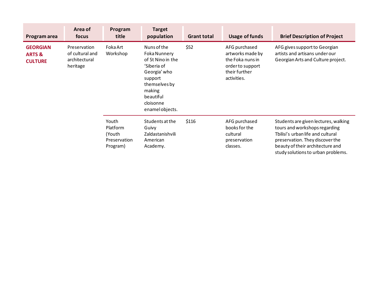| Program area                                           | Area of<br>focus                                                                                          | Program<br>title                                        | <b>Target</b><br>population                                                                                                                          | <b>Grant total</b> | Usage of funds                                                                                            | <b>Brief Description of Project</b>                                                                                                                                                                                     |
|--------------------------------------------------------|-----------------------------------------------------------------------------------------------------------|---------------------------------------------------------|------------------------------------------------------------------------------------------------------------------------------------------------------|--------------------|-----------------------------------------------------------------------------------------------------------|-------------------------------------------------------------------------------------------------------------------------------------------------------------------------------------------------------------------------|
| <b>GEORGIAN</b><br><b>ARTS &amp;</b><br><b>CULTURE</b> | Foka Art<br>Preservation<br>of cultural and<br>Workshop<br>architectural<br>heritage<br>support<br>making |                                                         | Nuns of the<br><b>Foka Nunnery</b><br>of St Nino in the<br>'Siberia of<br>Georgia' who<br>themselves by<br>beautiful<br>cloisonne<br>enamel objects. | \$52               | AFG purchased<br>artworks made by<br>the Foka nuns in<br>order to support<br>their further<br>activities. | AFG gives support to Georgian<br>artists and artisans under our<br>Georgian Arts and Culture project.                                                                                                                   |
|                                                        |                                                                                                           | Youth<br>Platform<br>(Youth<br>Preservation<br>Program) | Students at the<br>Guivy<br>Zaldastanishvili<br>American<br>Academy.                                                                                 | \$116              | AFG purchased<br>books for the<br>cultural<br>preservation<br>classes.                                    | Students are given lectures, walking<br>tours and workshops regarding<br>Tbilisi's urban life and cultural<br>preservation. They discover the<br>beauty of their architecture and<br>study solutions to urban problems. |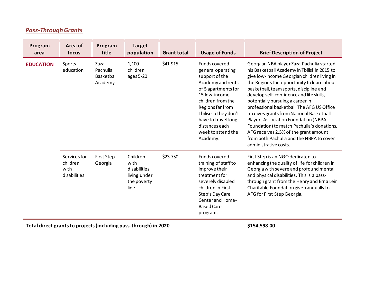| <b>Pass-Through Grants</b> |
|----------------------------|
|----------------------------|

<span id="page-13-0"></span>

| Program<br>area  | Area of<br>focus                                 | Program<br>title                          | <b>Target</b><br>population                                             | <b>Grant total</b> | <b>Usage of Funds</b>                                                                                                                                                                                                                                                 | <b>Brief Description of Project</b>                                                                                                                                                                                                                                                                                                                                                                                                                                                                                                                                                                             |
|------------------|--------------------------------------------------|-------------------------------------------|-------------------------------------------------------------------------|--------------------|-----------------------------------------------------------------------------------------------------------------------------------------------------------------------------------------------------------------------------------------------------------------------|-----------------------------------------------------------------------------------------------------------------------------------------------------------------------------------------------------------------------------------------------------------------------------------------------------------------------------------------------------------------------------------------------------------------------------------------------------------------------------------------------------------------------------------------------------------------------------------------------------------------|
| <b>EDUCATION</b> | Sports<br>education                              | Zaza<br>Pachulia<br>Basketball<br>Academy | 1,100<br>children<br>ages 5-20                                          | \$41,915           | <b>Funds covered</b><br>general operating<br>support of the<br>Academy and rents<br>of 5 apartments for<br>15 low-income<br>children from the<br>Regions far from<br>Tbilisi so they don't<br>have to travel long<br>distances each<br>week to attend the<br>Academy. | Georgian NBA player Zaza Pachulia started<br>his Basketball Academy in Tbilisi in 2015 to<br>give low-income Georgian children living in<br>the Regions the opportunity to learn about<br>basketball, team sports, discipline and<br>develop self-confidence and life skills,<br>potentially pursuing a career in<br>professional basketball. The AFG US Office<br>receives grants from National Basketball<br>Players Association Foundation (NBPA<br>Foundation) to match Pachulia's donations.<br>AFG receives 2.5% of the grant amount<br>from both Pachulia and the NBPA to cover<br>administrative costs. |
|                  | Services for<br>children<br>with<br>disabilities | <b>First Step</b><br>Georgia              | Children<br>with<br>disabilities<br>living under<br>the poverty<br>line | \$23,750           | Funds covered<br>training of staff to<br>improve their<br>treatment for<br>severely disabled<br>children in First<br>Step's Day Care<br>Center and Home-<br><b>Based Care</b><br>program.                                                                             | First Step is an NGO dedicated to<br>enhancing the quality of life for children in<br>Georgia with severe and profound mental<br>and physical disabilities. This is a pass-<br>through grant from the Henry and Erna Leir<br>Charitable Foundation given annually to<br>AFG for First Step Georgia.                                                                                                                                                                                                                                                                                                             |

**Total direct grants to projects (including pass-through) in 2020 \$154,598.00**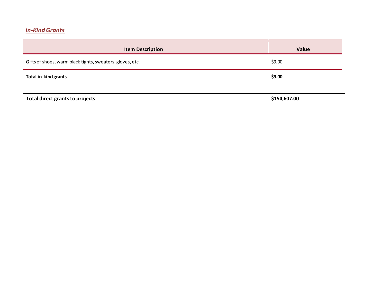# *In-Kind Grants*

<span id="page-14-0"></span>

| <b>Item Description</b>                                   | Value        |
|-----------------------------------------------------------|--------------|
| Gifts of shoes, warm black tights, sweaters, gloves, etc. | \$9.00       |
| <b>Total in-kind grants</b>                               | \$9.00       |
| Total direct grants to projects                           | \$154,607.00 |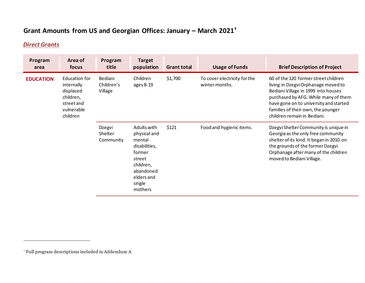# **Grant Amounts from US and Georgian Offices: January – March 2021 †**

# *Direct Grants*

<span id="page-15-1"></span><span id="page-15-0"></span>

| Program<br>area  | Area of<br>focus                                                                             | Program<br>title                 | <b>Target</b><br>population                                                                                                             | <b>Grant total</b> | <b>Usage of Funds</b>                          | <b>Brief Description of Project</b>                                                                                                                                                                                                                                       |
|------------------|----------------------------------------------------------------------------------------------|----------------------------------|-----------------------------------------------------------------------------------------------------------------------------------------|--------------------|------------------------------------------------|---------------------------------------------------------------------------------------------------------------------------------------------------------------------------------------------------------------------------------------------------------------------------|
| <b>EDUCATION</b> | Education for<br>internally<br>displaced<br>children,<br>streetand<br>vulnerable<br>children | Bediani<br>Children's<br>Village | Children<br>ages 8-19                                                                                                                   | \$1,700            | To cover electricity for the<br>winter months. | 60 of the 120 former street children<br>living in Dzegvi Orphanage moved to<br>Bediani Village in 1999 into houses<br>purchased by AFG. While many of them<br>have gone on to university and started<br>families of their own, the younger<br>children remain in Bediani. |
|                  |                                                                                              | Dzegvi<br>Shelter<br>Community   | Adults with<br>physical and<br>mental<br>disabilities,<br>former<br>street<br>children,<br>abandoned<br>elders and<br>single<br>mothers | \$121              | Food and hygienic items.                       | Dzegvi Shelter Community is unique in<br>Georgia as the only free community<br>shelter of its kind. It began in 2010 on<br>the grounds of the former Dzegvi<br>Orphanage after many of the children<br>moved to Bediani Village.                                          |

<sup>†</sup> Full program descriptions included in Addendum A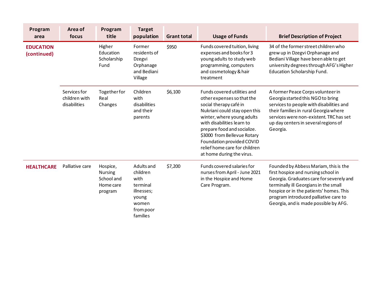| Program<br>area                 | Area of<br>focus                              | Program<br>title                                                 | <b>Target</b><br>population                                                                         | <b>Grant total</b> | <b>Usage of Funds</b>                                                                                                                                                                                                                                                                                                                     | <b>Brief Description of Project</b>                                                                                                                                                                                                                                                            |
|---------------------------------|-----------------------------------------------|------------------------------------------------------------------|-----------------------------------------------------------------------------------------------------|--------------------|-------------------------------------------------------------------------------------------------------------------------------------------------------------------------------------------------------------------------------------------------------------------------------------------------------------------------------------------|------------------------------------------------------------------------------------------------------------------------------------------------------------------------------------------------------------------------------------------------------------------------------------------------|
| <b>EDUCATION</b><br>(continued) |                                               | Higher<br>Education<br>Scholarship<br>Fund                       | Former<br>residents of<br>Dzegvi<br>Orphanage<br>and Bediani<br>Village                             | \$950              | Funds covered tuition, living<br>expenses and books for 3<br>young adults to study web<br>programming, computers<br>and cosmetology & hair<br>treatment                                                                                                                                                                                   | 34 of the former street children who<br>grew up in Dzegvi Orphanage and<br>Bediani Village have been able to get<br>university degrees through AFG's Higher<br>Education Scholarship Fund.                                                                                                     |
|                                 | Services for<br>children with<br>disabilities | Togetherfor<br>Real<br>Changes                                   | Children<br>with<br>disabilities<br>and their<br>parents                                            | \$6,100            | Funds covered utilities and<br>other expenses so that the<br>social therapy café in<br>Nukriani could stay open this<br>winter, where young adults<br>with disabilities learn to<br>prepare food and socialize.<br>\$3000 from Bellevue Rotary<br>Foundation provided COVID<br>relief home care for children<br>at home during the virus. | A former Peace Corps volunteer in<br>Georgia started this NGO to bring<br>services to people with disabilities and<br>their families in rural Georgia where<br>services were non-existent. TRC has set<br>up day centers in several regions of<br>Georgia.                                     |
| <b>HEALTHCARE</b>               | Palliative care                               | Hospice,<br><b>Nursing</b><br>School and<br>Home care<br>program | Adults and<br>children<br>with<br>terminal<br>illnesses;<br>young<br>women<br>from poor<br>families | \$7,200            | Funds covered salaries for<br>nurses from April - June 2021<br>in the Hospice and Home<br>Care Program.                                                                                                                                                                                                                                   | Founded by Abbess Mariam, this is the<br>first hospice and nursing school in<br>Georgia. Graduates care for severely and<br>terminally ill Georgians in the small<br>hospice or in the patients' homes. This<br>program introduced palliative care to<br>Georgia, and is made possible by AFG. |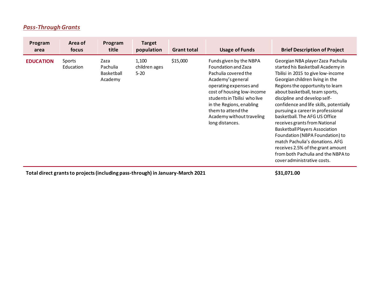# *Pass-Through Grants*

| Program<br>area  | Area of<br>focus    | Program<br>title                          | <b>Target</b><br>population        | <b>Grant total</b> | <b>Usage of Funds</b>                                                                                                                                                                                                                                                                 | <b>Brief Description of Project</b>                                                                                                                                                                                                                                                                                                                                                                                                                                                                                                                                                                                              |
|------------------|---------------------|-------------------------------------------|------------------------------------|--------------------|---------------------------------------------------------------------------------------------------------------------------------------------------------------------------------------------------------------------------------------------------------------------------------------|----------------------------------------------------------------------------------------------------------------------------------------------------------------------------------------------------------------------------------------------------------------------------------------------------------------------------------------------------------------------------------------------------------------------------------------------------------------------------------------------------------------------------------------------------------------------------------------------------------------------------------|
| <b>EDUCATION</b> | Sports<br>Education | Zaza<br>Pachulia<br>Basketball<br>Academy | 1,100<br>children ages<br>$5 - 20$ | \$15,000           | Funds given by the NBPA<br>Foundation and Zaza<br>Pachulia covered the<br>Academy's general<br>operating expenses and<br>cost of housing low-income<br>students in Tbilisi who live<br>in the Regions, enabling<br>them to attend the<br>Academy without traveling<br>long distances. | Georgian NBA player Zaza Pachulia<br>started his Basketball Academy in<br>Tbilisi in 2015 to give low-income<br>Georgian children living in the<br>Regions the opportunity to learn<br>about basketball, team sports,<br>discipline and develop self-<br>confidence and life skills, potentially<br>pursuing a career in professional<br>basketball. The AFG US Office<br>receives grants from National<br><b>Basketball Players Association</b><br>Foundation (NBPA Foundation) to<br>match Pachulia's donations. AFG<br>receives 2.5% of the grant amount<br>from both Pachulia and the NBPA to<br>cover administrative costs. |

<span id="page-17-0"></span>**Total direct grants to projects (including pass-through) in January-March 2021 \$31,071.00**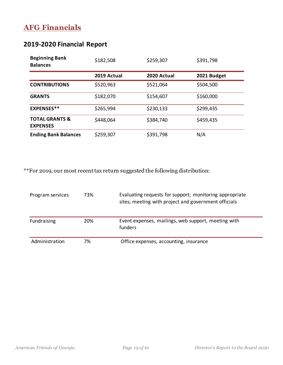# <span id="page-18-0"></span>**AFG Financials**

# <span id="page-18-1"></span>**2019-2020 Financial Report**

| <b>Beginning Bank</b><br><b>Balances</b>     | \$182,508   | \$259,307   | \$391,798   |  |
|----------------------------------------------|-------------|-------------|-------------|--|
|                                              | 2019 Actual | 2020 Actual | 2021 Budget |  |
| <b>CONTRIBUTIONS</b>                         | \$520,963   | \$521,064   | \$504,500   |  |
| <b>GRANTS</b>                                | \$182,070   |             | \$160,000   |  |
| <b>EXPENSES**</b>                            | \$265,994   | \$230,133   | \$299,435   |  |
| <b>TOTAL GRANTS &amp;</b><br><b>EXPENSES</b> | \$448,064   | \$384,740   | \$459,435   |  |
| <b>Ending Bank Balances</b>                  | \$259,307   | \$391,798   | N/A         |  |

\*\*For 2019, our most recent tax return suggested the following distribution:

| Program services | 73% | Evaluating requests for support; monitoring appropriate<br>sites; meeting with project and government officials |
|------------------|-----|-----------------------------------------------------------------------------------------------------------------|
| Fundraising      | 20% | Event expenses, mailings, web support, meeting with<br>funders                                                  |
| Administration   | 7%  | Office expenses, accounting, insurance                                                                          |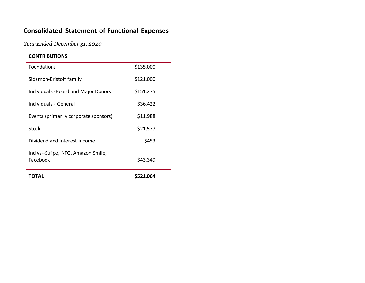# **Consolidated Statement of Functional Expenses**

*Year Ended December 31, 2020*

#### **CONTRIBUTIONS**

<span id="page-19-0"></span>

| IUIAL                                          | S521.064  |
|------------------------------------------------|-----------|
| Indivs--Stripe, NFG, Amazon Smile,<br>Facebook | \$43,349  |
| Dividend and interest income                   | \$453     |
| Stock                                          | \$21,577  |
| Events (primarily corporate sponsors)          | \$11,988  |
| Individuals - General                          | \$36,422  |
| Individuals - Board and Major Donors           | \$151,275 |
| Sidamon-Eristoff family                        | \$121,000 |
| Foundations                                    | \$135,000 |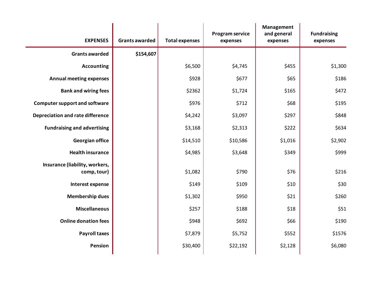| <b>EXPENSES</b>                               | <b>Grants awarded</b> | <b>Total expenses</b> | Program service<br>expenses | Management<br>and general<br>expenses | <b>Fundraising</b><br>expenses |
|-----------------------------------------------|-----------------------|-----------------------|-----------------------------|---------------------------------------|--------------------------------|
| <b>Grants awarded</b>                         | \$154,607             |                       |                             |                                       |                                |
| <b>Accounting</b>                             |                       | \$6,500               | \$4,745                     | \$455                                 | \$1,300                        |
| <b>Annual meeting expenses</b>                |                       | \$928                 | \$677                       | \$65                                  | \$186                          |
| <b>Bank and wiring fees</b>                   |                       | \$2362                | \$1,724                     | \$165                                 | \$472                          |
| <b>Computer support and software</b>          |                       | \$976                 | \$712                       | \$68                                  | \$195                          |
| <b>Depreciation and rate difference</b>       |                       | \$4,242               | \$3,097                     | \$297                                 | \$848                          |
| <b>Fundraising and advertising</b>            |                       | \$3,168               | \$2,313                     | \$222                                 | \$634                          |
| <b>Georgian office</b>                        |                       | \$14,510              | \$10,586                    | \$1,016                               | \$2,902                        |
| <b>Health insurance</b>                       |                       | \$4,985               | \$3,648                     | \$349                                 | \$999                          |
| Insurance (liability, workers,<br>comp, tour) |                       | \$1,082               | \$790                       | \$76                                  | \$216                          |
| Interest expense                              |                       | \$149                 | \$109                       | \$10                                  | \$30                           |
| <b>Membership dues</b>                        |                       | \$1,302               | \$950                       | \$21                                  | \$260                          |
| <b>Miscellaneous</b>                          |                       | \$257                 | \$188                       | \$18                                  | \$51                           |
| <b>Online donation fees</b>                   |                       | \$948                 | \$692                       | \$66                                  | \$190                          |
| <b>Payroll taxes</b>                          |                       | \$7,879               | \$5,752                     | \$552                                 | \$1576                         |
| <b>Pension</b>                                |                       | \$30,400              | \$22,192                    | \$2,128                               | \$6,080                        |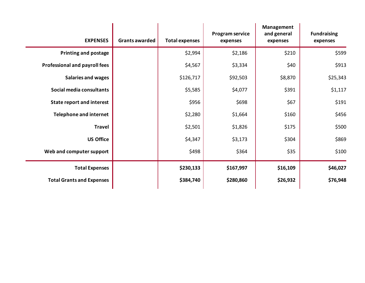| <b>EXPENSES</b>                      | <b>Grants awarded</b> | <b>Total expenses</b> | Program service<br>expenses | <b>Management</b><br>and general<br>expenses | <b>Fundraising</b><br>expenses |
|--------------------------------------|-----------------------|-----------------------|-----------------------------|----------------------------------------------|--------------------------------|
| <b>Printing and postage</b>          |                       | \$2,994               | \$2,186                     | \$210                                        | \$599                          |
| <b>Professional and payroll fees</b> |                       | \$4,567               | \$3,334                     | \$40                                         | \$913                          |
| <b>Salaries and wages</b>            |                       | \$126,717             | \$92,503                    | \$8,870                                      | \$25,343                       |
| Social media consultants             |                       | \$5,585               | \$4,077                     | \$391                                        | \$1,117                        |
| <b>State report and interest</b>     |                       | \$956                 | \$698                       | \$67                                         | \$191                          |
| <b>Telephone and internet</b>        |                       | \$2,280               | \$1,664                     | \$160                                        | \$456                          |
| <b>Travel</b>                        |                       | \$2,501               | \$1,826                     | \$175                                        | \$500                          |
| <b>US Office</b>                     |                       | \$4,347               | \$3,173                     | \$304                                        | \$869                          |
| Web and computer support             |                       | \$498                 | \$364                       | \$35                                         | \$100                          |
| <b>Total Expenses</b>                |                       | \$230,133             | \$167,997                   | \$16,109                                     | \$46,027                       |
| <b>Total Grants and Expenses</b>     |                       | \$384,740             | \$280,860                   | \$26,932                                     | \$76,948                       |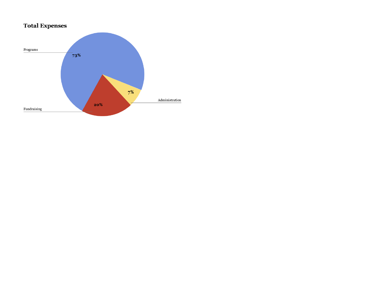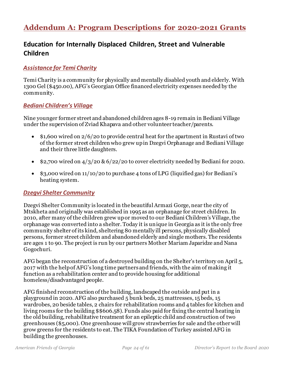# <span id="page-23-0"></span>**Addendum A: Program Descriptions for 2020-2021 Grants**

# <span id="page-23-1"></span>**Education for Internally Displaced Children, Street and Vulnerable Children**

#### *Assistance for Temi Charity*

Temi Charity is a community for physically and mentally disabled youth and elderly. With 1300 Gel (\$450.00), AFG's Georgian Office financed electricity expenses needed by the community.

#### *Bediani Children's Village*

Nine younger former street and abandoned children ages 8-19 remain in Bediani Village under the supervision of Zviad Khapava and other volunteer teacher/parents.

- \$1,600 wired on 2/6/20 to provide central heat for the apartment in Rustavi of two of the former street children who grew up in Dzegvi Orphanage and Bediani Village and their three little daughters.
- \$2,700 wired on  $4/3/20$  &  $6/22/20$  to cover electricity needed by Bediani for 2020.
- \$3,000 wired on 11/10/20 to purchase 4 tons of LPG (liquified gas) for Bediani's heating system.

#### *Dzegvi Shelter Community*

Dzegvi Shelter Community is located in the beautiful Armazi Gorge, near the city of Mtskheta and originally was established in 1995 as an orphanage for street children. In 2010, after many of the children grew up or moved to our Bediani Children's Village, the orphanage was converted into a shelter. Today it is unique in Georgia as it is the only free community shelter of its kind, sheltering 80 mentally ill persons, physically disabled persons, former street children and abandoned elderly and single mothers. The residents are ages 1 to 90. The project is run by our partners Mother Mariam Japaridze and Nana Gogochuri.

AFG began the reconstruction of a destroyed building on the Shelter's territory on April 5, 2017 with the help of AFG's long time partners and friends, with the aim of making it function as a rehabilitation center and to provide housing for additional homeless/disadvantaged people.

AFG finished reconstruction of the building, landscaped the outside and put in a playground in 2020. AFG also purchased 5 bunk beds, 25 mattresses, 15 beds, 15 wardrobes, 20 beside tables, 2 chairs for rehabilitation rooms and 4 tables for kitchen and living rooms for the building \$\$606.58). Funds also paid for fixing the central heating in the old building, rehabilitative treatment for an epileptic child and construction of two greenhouses (\$5,000). One greenhouse will grow strawberries for sale and the other will grow greens for the residents to eat. The TIKA Foundation of Turkey assisted AFG in building the greenhouses.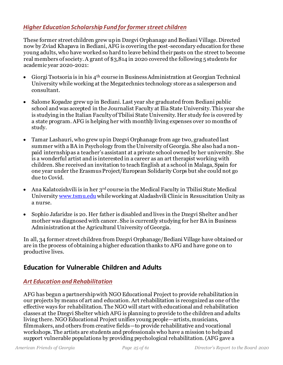#### *Higher Education Scholarship Fund for former street children*

These former street children grew up in Dzegvi Orphanage and Bediani Village. Directed now by Zviad Khapava in Bediani, AFG is covering the post-secondary education for these young adults, who have worked so hard to leave behind their pasts on the street to become real members of society. A grant of \$3,814 in 2020 covered the following 5 students for academic year 2020-2021:

- Giorgi Tsotsoria is in his 4th course in Business Administration at Georgian Technical University while working at the Megatechnics technology store as a salesperson and consultant.
- Salome Kopadze grew up in Bediani. Last year she graduated from Bediani public school and was accepted in the Journalist Faculty at Ilia State University. This year she is studying in the Italian Faculty of Tbilisi State University. Her study fee is covered by a state program. AFG is helping her with monthly living expenses over 10 months of study.
- Tamar Lashauri, who grew up in Dzegvi Orphanage from age two, graduated last summer with a BA in Psychology from the University of Georgia. She also had a nonpaid internship as a teacher's assistant at a private school owned by her university. She is a wonderful artist and is interested in a career as an art therapist working with children. She received an invitation to teach English at a school in Malaga, Spain for one year under the Erasmus Project/European Solidarity Corps but she could not go due to Covid.
- Ana Kalatozishvili is in her  $3<sup>rd</sup>$  course in the Medical Faculty in Tbilisi State Medical Universit[y www.tsmu.edu](http://www.tsmu.edu/) while working at Aladashvili Clinic in Resuscitation Unity as a nurse.
- Sophio Jafaridze is 20. Her father is disabled and lives in the Dzegvi Shelter and her mother was diagnosed with cancer. She is currently studying for her BA in Business Administration at the Agricultural University of Georgia.

In all, 34 former street children from Dzegvi Orphanage/Bediani Village have obtained or are in the process of obtaining a higher education thanks to AFG and have gone on to productive lives.

# <span id="page-24-0"></span>**Education for Vulnerable Children and Adults**

#### *Art Education and Rehabilitation*

AFG has begun a partnership with NGO Educational Project to provide rehabilitation in our projects by means of art and education. Art rehabilitation is recognized as one of the effective ways for rehabilitation. The NGO will start with educational and rehabilitation classes at the Dzegvi Shelter which AFG is planning to provide to the children and adults living there. NGO Educational Project unifies young people—artists, musicians, filmmakers, and others from creative fields—to provide rehabilitative and vocational workshops. The artists are students and professionals who have a mission to help and support vulnerable populations by providing psychological rehabilitation. (AFG gave a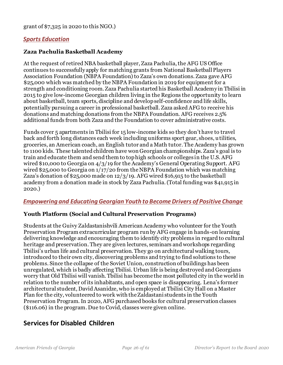#### *Sports Education*

#### **Zaza Pachulia Basketball Academy**

At the request of retired NBA basketball player, Zaza Pachulia, the AFG US Office continues to successfully apply for matching grants from National Basketball Players Association Foundation (NBPA Foundation) to Zaza's own donations. Zaza gave AFG \$25,000 which was matched by the NBPA Foundation in 2019 for equipment for a strength and conditioning room. Zaza Pachulia started his Basketball Academy in Tbilisi in 2015 to give low-income Georgian children living in the Regions the opportunity to learn about basketball, team sports, discipline and develop self-confidence and life skills, potentially pursuing a career in professional basketball. Zaza asked AFG to receive his donations and matching donations from the NBPA Foundation. AFG receives 2.5% additional funds from both Zaza and the Foundation to cover administrative costs.

Funds cover 5 apartments in Tbilisi for 15 low-income kids so they don't have to travel back and forth long distances each week including uniforms sport gear, shoes, utilities, groceries, an American coach, an English tutor and a Math tutor. The Academy has grown to 1100 kids. These talented children have won Georgian championships. Zaza's goal is to train and educate them and send them to top high schools or colleges in the U.S. AFG wired \$10,000 to Georgia on 4/3/19 for the Academy's General Operating Support. AFG wired \$25,000 to Georgia on 1/17/20 from the NBPA Foundation which was matching Zaza's donation of \$25,000 made on 12/3/19. AFG wired \$16,915 to the basketball academy from a donation made in stock by Zaza Pachulia. (Total funding was \$41,915 in 2020.)

#### *Empowering and Educating Georgian Youth to Become Drivers of Positive Change*

#### **Youth Platform (Social and Cultural Preservation Programs)**

Students at the Guivy Zaldastanishvili American Academy who volunteer for the Youth Preservation Program extracurricular program run by AFG engage in hands-on learning delivering knowledge and encouraging them to identify city problems in regard to cultural heritage and preservation. They are given lectures, seminars and workshops regarding Tbilisi's urban life and cultural preservation. They go on architectural walking tours, introduced to their own city, discovering problems and trying to find solutions to these problems. Since the collapse of the Soviet Union, construction of buildings has been unregulated, which is badly affecting Tbilisi. Urban life is being destroyed and Georgians worry that Old Tbilisi will vanish. Tbilisi has become the most polluted city in the world in relation to the number of its inhabitants, and open space is disappearing. Lena's former architectural student, David Asanidze, who is employed at Tbilisi City Hall on a Master Plan for the city, volunteered to work with the Zaldastani students in the Youth Preservation Program. In 2020, AFG purchased books for cultural preservation classes (\$116.06) in the program. Due to Covid, classes were given online.

### <span id="page-25-0"></span>**Services for Disabled Children**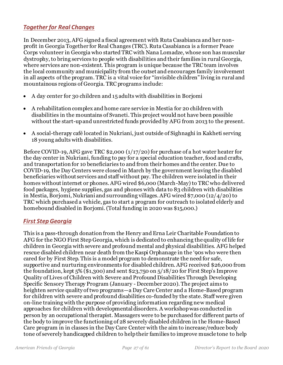#### *Together for Real Changes*

In December 2013, AFG signed a fiscal agreement with Ruta Casabianca and her nonprofit in Georgia Together for Real Changes (TRC). Ruta Casabianca is a former Peace Corps volunteer in Georgia who started TRC with Nana Lomadze, whose son has muscular dystrophy, to bring services to people with disabilities and their families in rural Georgia, where services are non-existent. This program is unique because the TRC team involves the local community and municipality from the outset and encourages family involvement in all aspects of the program. TRC is a vital voice for "invisible children" living in rural and mountainous regions of Georgia. TRC programs include:

- A day center for 30 children and 15 adults with disabilities in Borjomi
- A rehabilitation complex and home care service in Mestia for 20 children with disabilities in the mountains of Svaneti. This project would not have been possible without the start-up and unrestricted funds provided by AFG from 2013 to the present.
- A social-therapy café located in Nukriani, just outside of Sighnaghi in Kakheti serving 18 young adults with disabilities.

Before COVID-19, AFG gave TRC \$2,000 (1/17/20) for purchase of a hot water heater for the day center in Nukriani, funding to pay for a special education teacher, food and crafts, and transportation for 10 beneficiaries to and from their homes and the center. Due to COVID-19, the Day Centers were closed in March by the government leaving the disabled beneficiaries without services and staff without pay. The children were isolated in their homes without internet or phones. AFG wired \$6,000 (March-May) to TRC who delivered food packages, hygiene supplies, gas and phones with data to 83 children with disabilities in Mestia, Borjomi, Nukriani and surrounding villages. AFG wired \$7,000 (12/4/20) to TRC which purchased a vehicle, gas to start a program for outreach to isolated elderly and homebound disabled in Borjomi. (Total funding in 2020 was \$15,000.)

#### *First Step Georgia*

This is a pass-through donation from the Henry and Erna Leir Charitable Foundation to AFG for the NGO First Step Georgia, which is dedicated to enhancing the quality of life for children in Georgia with severe and profound mental and physical disabilities. AFG helped rescue disabled children near death from the Kaspi Orphanage in the '90s who were then cared for by First Step. This is a model program to demonstrate the need for safe, supportive and nurturing environments for disabled children. AFG received \$26,000 from the foundation, kept 5% (\$1,300) and sent \$23,750 on 5/18/20 for First Step's Improve Quality of Lives of Children with Severe and Profound Disabilities Through Developing Specific Sensory Therapy Program (January - December 2020). The project aims to heighten service quality of two programs—a Day Care Center and a Home-Based program for children with severe and profound disabilities co-funded by the state. Staff were given on-line training with the purpose of providing information regarding new medical approaches for children with developmental disorders. A workshop was conducted in person by an occupational therapist. Massagers were to be purchased for different parts of the body to improve the functioning of 28 severely disabled children in the Home-Based Care program in in classes in the Day Care Center with the aim to increase/reduce body tone of severely handicapped children to help their families to improve muscle tone to help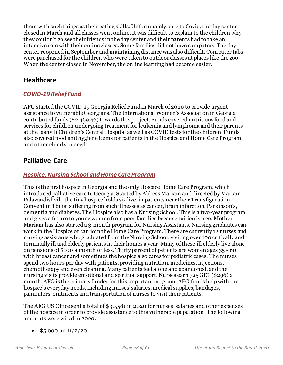them with such things as their eating skills. Unfortunately, due to Covid, the day center closed in March and all classes went online. It was difficult to explain to the children why they couldn't go see their friends in the day center and their parents had to take an intensive role with their online classes. Some families did not have computers. The day center reopened in September and maintaining distance was also difficult. Computer tabs were purchased for the children who were taken to outdoor classes at places like the zoo. When the center closed in November, the online learning had become easier.

#### <span id="page-27-0"></span>**Healthcare**

#### *COVID-19 Relief Fund*

AFG started the COVID-19 Georgia Relief Fund in March of 2020 to provide urgent assistance to vulnerable Georgians. The International Women's Association in Georgia contributed funds (\$2,469.46) towards this project. Funds covered nutritious food and services for children undergoing treatment for leukemia and lymphoma and their parents at the Iashvili Children's Central Hospital as well as COVID tests for the children. Funds also covered food and hygiene items for patients in the Hospice and Home Care Program and other elderly in need.

### <span id="page-27-1"></span>**Palliative Care**

#### *Hospice, Nursing School and Home Care Program*

This is the first hospice in Georgia and the only Hospice Home Care Program, which introduced palliative care to Georgia. Started by Abbess Mariam and directed by Mariam Palavandishvili, the tiny hospice holds six live-in patients near their Transfiguration Convent in Tbilisi suffering from such illnesses as cancer, brain infarction, Parkinson's, dementia and diabetes. The Hospice also has a Nursing School. This is a two-year program and gives a future to young women from poor families because tuition is free. Mother Mariam has also started a 3-month program for Nursing Assistants. Nursing graduates can work in the Hospice or can join the Home Care Program. There are currently 12 nurses and nursing assistants who graduated from the Nursing School, visiting over 100 critically and terminally ill and elderly patients in their homes a year. Many of these ill elderly live alone on pensions of \$100 a month or less. Thirty percent of patients are women ages 35 - 60 with breast cancer and sometimes the hospice also cares for pediatric cases. The nurses spend two hours per day with patients, providing nutrition, medicines, injections, chemotherapy and even cleaning. Many patients feel alone and abandoned, and the nursing visits provide emotional and spiritual support. Nurses earn 725 GEL (\$296) a month. AFG is the primary funder for this important program. AFG funds help with the hospice's everyday needs, including nurses' salaries, medical supplies, bandages, painkillers, ointments and transportation of nurses to visit their patients.

The AFG US Office sent a total of \$30,581 in 2020 for nurses' salaries and other expenses of the hospice in order to provide assistance to this vulnerable population. The following amounts were wired in 2020:

•  $$5,000$  on  $11/2/20$